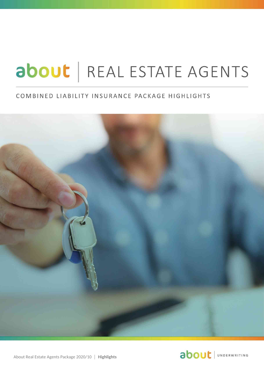# about | REAL ESTATE AGENTS

### COMBINED LIABILITY INSURANCE PACKAGE HIGHLIGHTS





About Real Estate Agents Package 2020/10 │ **Highlights**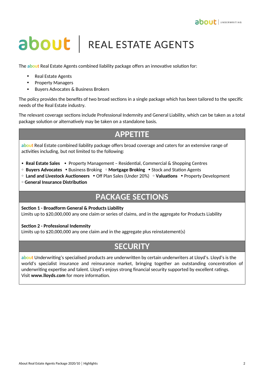

## about | REAL ESTATE AGENTS

The **about** Real Estate Agents combined liability package offers an innovative solution for:

- Real Estate Agents
- Property Managers
- Buyers Advocates & Business Brokers

The policy provides the benefits of two broad sections in a single package which has been tailored to the specific needs of the Real Estate industry.

The relevant coverage sections include Professional Indemnity and General Liability, which can be taken as a total package solution or alternatively may be taken on a standalone basis.

## **APPETITE**

**about** Real Estate combined liability package offers broad coverage and caters for an extensive range of activities including, but not limited to the following:

- **Real Estate Sales**  Property Management Residential, Commercial & Shopping Centres
- • **Buyers Advocates** Business Broking **Mortgage Broking** Stock and Station Agents
- • **Land and Livestock Auctioneers** Off Plan Sales (Under 20%) **Valuations** Property Development
- **General Insurance Distribution**

## **PACKAGE SECTIONS**

**Section 1 - Broadform General & Products Liability**

Limits up to \$20,000,000 any one claim or series of claims, and in the aggregate for Products Liability

#### **Section 2 - Professional Indemnity**

Limits up to \$20,000,000 any one claim and in the aggregate plus reinstatement(s)

## **SECURITY**

**about** Underwriting's specialised products are underwritten by certain underwriters at Lloyd's. Lloyd's is the world's specialist insurance and reinsurance market, bringing together an outstanding concentration of underwriting expertise and talent. Lloyd's enjoys strong financial security supported by excellent ratings. Visit **www.lloyds.com** for more information.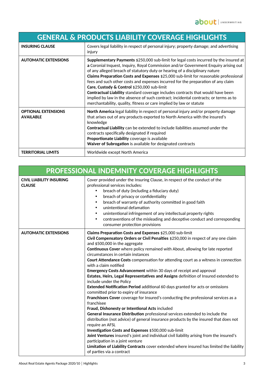| <b>GENERAL &amp; PRODUCTS LIABILITY COVERAGE HIGHLIGHTS</b> |                                                                                                                                                                                                                                                                                                                                                                                                                                                                                                                                                                                                                                                                                                                                          |  |
|-------------------------------------------------------------|------------------------------------------------------------------------------------------------------------------------------------------------------------------------------------------------------------------------------------------------------------------------------------------------------------------------------------------------------------------------------------------------------------------------------------------------------------------------------------------------------------------------------------------------------------------------------------------------------------------------------------------------------------------------------------------------------------------------------------------|--|
| <b>INSURING CLAUSE</b>                                      | Covers legal liability in respect of personal injury; property damage; and advertising<br>injury                                                                                                                                                                                                                                                                                                                                                                                                                                                                                                                                                                                                                                         |  |
| <b>AUTOMATIC EXTENSIONS</b>                                 | Supplementary Payments \$250,000 sub-limit for legal costs incurred by the insured at<br>a Coronial Inquest, Inquiry, Royal Commission and/or Government Enquiry arising out<br>of any alleged breach of statutory duty or hearing of a disciplinary nature<br>Claims Preparation Costs and Expenses \$25,000 sub-limit for reasonable professional<br>fees and such other costs and expenses incurred for the preparation of any claim<br>Care, Custody & Control \$250,000 sub-limit<br>Contractual Liability standard coverage includes contracts that would have been<br>implied by law in the absence of such contract; incidental contracts; or terms as to<br>merchantability, quality, fitness or care implied by law or statute |  |
| <b>OPTIONAL EXTENSIONS</b><br><b>AVAILABLE</b>              | North America legal liability in respect of personal injury and/or property damage<br>that arises out of any products exported to North America with the insured's<br>knowledge<br>Contractual Liability can be extended to include liabilities assumed under the<br>contracts specifically designated if required<br>Proportionate Liability coverage is available<br>Waiver of Subrogation is available for designated contracts                                                                                                                                                                                                                                                                                                       |  |
| <b>TERRITORIAL LIMITS</b>                                   | Worldwide except North America                                                                                                                                                                                                                                                                                                                                                                                                                                                                                                                                                                                                                                                                                                           |  |

| PROFESSIONAL INDEMNITY COVERAGE HIGHLIGHTS       |                                                                                                                                                                                                                                                                                                                                                                                                                                                                                                                                                                                                                                                                                                                                                                                                                                                                                                                                                                                                                                                                                                                                                                                                                                                                                                                                                                                                                     |  |
|--------------------------------------------------|---------------------------------------------------------------------------------------------------------------------------------------------------------------------------------------------------------------------------------------------------------------------------------------------------------------------------------------------------------------------------------------------------------------------------------------------------------------------------------------------------------------------------------------------------------------------------------------------------------------------------------------------------------------------------------------------------------------------------------------------------------------------------------------------------------------------------------------------------------------------------------------------------------------------------------------------------------------------------------------------------------------------------------------------------------------------------------------------------------------------------------------------------------------------------------------------------------------------------------------------------------------------------------------------------------------------------------------------------------------------------------------------------------------------|--|
| <b>CIVIL LIABILITY INSURING</b><br><b>CLAUSE</b> | Cover provided under the Insuring Clause, in respect of the conduct of the<br>professional services includes:<br>breach of duty (including a fiduciary duty)<br>breach of privacy or confidentiality<br>$\bullet$<br>breach of warranty of authority committed in good faith<br>$\bullet$<br>unintentional defamation<br>$\bullet$<br>unintentional infringement of any intellectual property rights<br>$\bullet$<br>contraventions of the misleading and deceptive conduct and corresponding<br>consumer protection provisions                                                                                                                                                                                                                                                                                                                                                                                                                                                                                                                                                                                                                                                                                                                                                                                                                                                                                     |  |
| <b>AUTOMATIC EXTENSIONS</b>                      | Claims Preparation Costs and Expenses \$25,000 sub-limit<br>Civil Compensatory Orders or Civil Penalties \$250,000 in respect of any one claim<br>and \$500,000 in the aggregate<br>Continuous Cover where policy remained with About, allowing for late reported<br>circumstances in certain instances<br><b>Court Attendance Costs</b> compensation for attending court as a witness in connection<br>with a claim notified<br>Emergency Costs Advancement within 30 days of receipt and approval<br>Estates, Heirs, Legal Representatives and Assigns definition of Insured extended to<br>include under the Policy<br>Extended Notification Period additional 60 days granted for acts or omissions<br>committed prior to expiry of insurance<br>Franchisors Cover coverage for Insured's conducting the professional services as a<br>franchisee<br>Fraud, Dishonesty or Intentional Acts included<br>General Insurance Distribution professional services extended to include the<br>distribution (not advice) of general insurance products by the insured that does not<br>require an AFSL<br>Investigation Costs and Expenses \$500,000 sub-limit<br>Joint Ventures insured's joint and individual civil liability arising from the insured's<br>participation in a joint venture<br>Limitation of Liability Contracts cover extended where insured has limited the liability<br>of parties via a contract |  |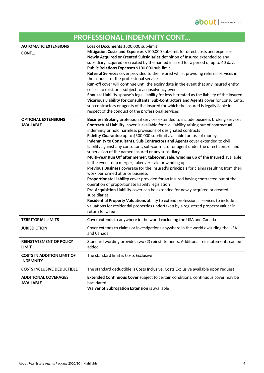| <b>PROFESSIONAL INDEMNITY CONT</b>                    |                                                                                                                                                                                                                                                                                                                                                                                                                                                                                                                                                                                                                                                                                                                                                                                                                                                                                                                                                                                                                                                                                                                                                                                                                                                                                           |
|-------------------------------------------------------|-------------------------------------------------------------------------------------------------------------------------------------------------------------------------------------------------------------------------------------------------------------------------------------------------------------------------------------------------------------------------------------------------------------------------------------------------------------------------------------------------------------------------------------------------------------------------------------------------------------------------------------------------------------------------------------------------------------------------------------------------------------------------------------------------------------------------------------------------------------------------------------------------------------------------------------------------------------------------------------------------------------------------------------------------------------------------------------------------------------------------------------------------------------------------------------------------------------------------------------------------------------------------------------------|
| <b>AUTOMATIC EXTENSIONS</b><br>CONT                   | Loss of Documents \$500,000 sub-limit<br>Mitigation Costs and Expenses \$100,000 sub-limit for direct costs and expenses<br>Newly Acquired or Created Subsidiaries definition of Insured extended to any<br>subsidiary acquired or created by the named insured for a period of up to 60 days<br>Public Relations Expenses \$100,000 sub-limit<br>Referral Services cover provided to the insured whilst providing referral services in<br>the conduct of the professional services<br>Run-off cover will continue until the expiry date in the event that any insured entity<br>ceases to exist or is subject to an insolvency event<br>Spousal Liability spouse's legal liability for loss is treated as the liability of the insured<br>Vicarious Liability for Consultants, Sub-Contractors and Agents cover for consultants,<br>sub-contractors or agents of the insured for which the insured is legally liable in<br>respect of the conduct of the professional services                                                                                                                                                                                                                                                                                                           |
| <b>OPTIONAL EXTENSIONS</b><br><b>AVAILABLE</b>        | Business Broking professional services extended to include business broking services<br>Contractual Liability cover is available for civil liability arising out of contractual<br>indemnity or hold harmless provisions of designated contracts<br>Fidelity Guarantee up to \$500,000 sub-limit available for loss of money<br>Indemnity to Consultants, Sub-Contractors and Agents cover extended to civil<br>liability against any consultant, sub-contractor or agent under the direct control and<br>supervision of the named insured or any subsidiary<br>Multi-year Run Off after merger, takeover, sale, winding up of the Insured available<br>in the event of a merger, takeover, sale or winding up<br>Previous Business coverage for the Insured's principals for claims resulting from their<br>work performed at prior business<br>Proportionate Liability cover provided for an Insured having contracted out of the<br>operation of proportionate liability legislation<br>Pre-Acquisition Liability cover can be extended for newly acquired or created<br>subsidiaries<br>Residential Property Valuations ability to extend professional services to include<br>valuations for residential properties undertaken by a registered property valuer in<br>return for a fee |
| <b>TERRITORIAL LIMITS</b>                             | Cover extends to anywhere in the world excluding the USA and Canada                                                                                                                                                                                                                                                                                                                                                                                                                                                                                                                                                                                                                                                                                                                                                                                                                                                                                                                                                                                                                                                                                                                                                                                                                       |
| <b>JURISDICTION</b>                                   | Cover extends to claims or investigations anywhere in the world excluding the USA<br>and Canada                                                                                                                                                                                                                                                                                                                                                                                                                                                                                                                                                                                                                                                                                                                                                                                                                                                                                                                                                                                                                                                                                                                                                                                           |
| <b>REINSTATEMENT OF POLICY</b><br><b>LIMIT</b>        | Standard wording provides two (2) reinstatements. Additional reinstatements can be<br>added                                                                                                                                                                                                                                                                                                                                                                                                                                                                                                                                                                                                                                                                                                                                                                                                                                                                                                                                                                                                                                                                                                                                                                                               |
| <b>COSTS IN ADDITION LIMIT OF</b><br><b>INDEMNITY</b> | The standard limit is Costs Exclusive                                                                                                                                                                                                                                                                                                                                                                                                                                                                                                                                                                                                                                                                                                                                                                                                                                                                                                                                                                                                                                                                                                                                                                                                                                                     |
| <b>COSTS INCLUSIVE DEDUCTIBLE</b>                     | The standard deductible is Costs Inclusive. Costs Exclusive available upon request                                                                                                                                                                                                                                                                                                                                                                                                                                                                                                                                                                                                                                                                                                                                                                                                                                                                                                                                                                                                                                                                                                                                                                                                        |
| <b>ADDITIONAL COVERAGES</b><br><b>AVAILABLE</b>       | Extended Continuous Cover subject to certain conditions, continuous cover may be<br>backdated<br>Waiver of Subrogation Extension is available                                                                                                                                                                                                                                                                                                                                                                                                                                                                                                                                                                                                                                                                                                                                                                                                                                                                                                                                                                                                                                                                                                                                             |

 $\mathsf{l}$